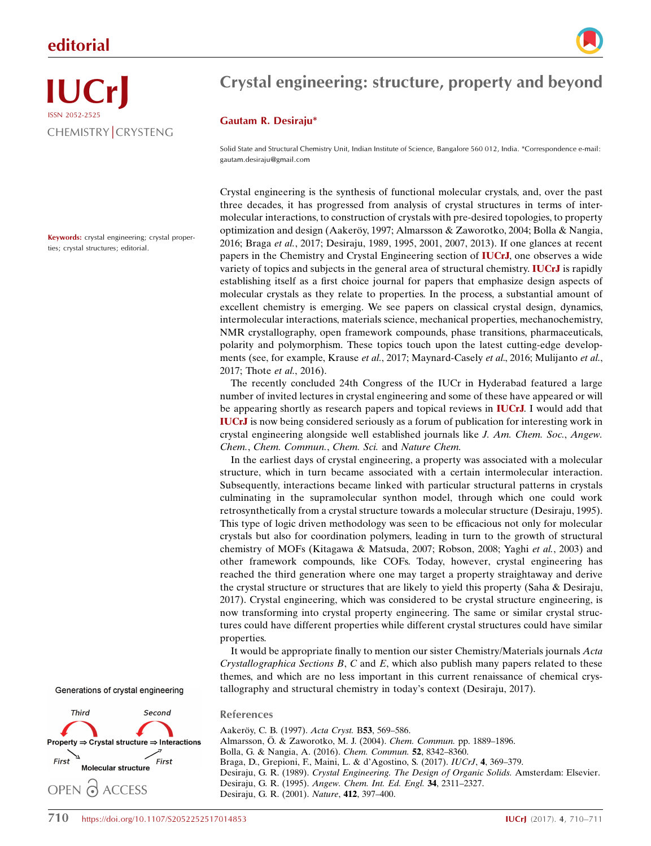### editorial



# IUCrJ ISSN 2052-2525 CHEMISTRY CRYSTENG

Keywords: crystal engineering; crystal properties; crystal structures; editorial.

## Crystal engineering: structure, property and beyond

#### Gautam R. Desiraju\*

Solid State and Structural Chemistry Unit, Indian Institute of Science, Bangalore 560 012, India. \*Correspondence e-mail: gautam.desiraju@gmail.com

Crystal engineering is the synthesis of functional molecular crystals, and, over the past three decades, it has progressed from analysis of crystal structures in terms of intermolecular interactions, to construction of crystals with pre-desired topologies, to property optimization and design (Aakeröy, 1997; Almarsson & Zaworotko, 2004; Bolla & Nangia, 2016; Braga et al., 2017; Desiraju, 1989, 1995, 2001, 2007, 2013). If one glances at recent papers in the Chemistry and Crystal Engineering section of IUCrJ, one observes a wide variety of topics and subjects in the general area of structural chemistry. IUCrJ is rapidly establishing itself as a first choice journal for papers that emphasize design aspects of molecular crystals as they relate to properties. In the process, a substantial amount of excellent chemistry is emerging. We see papers on classical crystal design, dynamics, intermolecular interactions, materials science, mechanical properties, mechanochemistry, NMR crystallography, open framework compounds, phase transitions, pharmaceuticals, polarity and polymorphism. These topics touch upon the latest cutting-edge developments (see, for example, Krause et al., 2017; Maynard-Casely et al., 2016; Mulijanto et al., 2017; Thote et al., 2016).

The recently concluded 24th Congress of the IUCr in Hyderabad featured a large number of invited lectures in crystal engineering and some of these have appeared or will be appearing shortly as research papers and topical reviews in **IUCrJ**. I would add that IUCrJ is now being considered seriously as a forum of publication for interesting work in crystal engineering alongside well established journals like J. Am. Chem. Soc., Angew. Chem., Chem. Commun., Chem. Sci. and Nature Chem.

In the earliest days of crystal engineering, a property was associated with a molecular structure, which in turn became associated with a certain intermolecular interaction. Subsequently, interactions became linked with particular structural patterns in crystals culminating in the supramolecular synthon model, through which one could work retrosynthetically from a crystal structure towards a molecular structure (Desiraju, 1995). This type of logic driven methodology was seen to be efficacious not only for molecular crystals but also for coordination polymers, leading in turn to the growth of structural chemistry of MOFs (Kitagawa & Matsuda, 2007; Robson, 2008; Yaghi et al., 2003) and other framework compounds, like COFs. Today, however, crystal engineering has reached the third generation where one may target a property straightaway and derive the crystal structure or structures that are likely to yield this property (Saha & Desiraju, 2017). Crystal engineering, which was considered to be crystal structure engineering, is now transforming into crystal property engineering. The same or similar crystal structures could have different properties while different crystal structures could have similar properties.

It would be appropriate finally to mention our sister Chemistry/Materials journals Acta Crystallographica Sections  $B$ ,  $C$  and  $E$ , which also publish many papers related to these themes, and which are no less important in this current renaissance of chemical crystallography and structural chemistry in today's context (Desiraju, 2017).

Generations of crystal engineering



#### References

Aakerö[y, C. B. \(1997\).](http://scripts.iucr.org/cgi-bin/cr.cgi?rm=pdfbb&cnor=me0663&bbid=BB1) Acta Cryst. B53, 569-586. Almarsson, Ö[. & Zaworotko, M. J. \(2004\).](http://scripts.iucr.org/cgi-bin/cr.cgi?rm=pdfbb&cnor=me0663&bbid=BB2) Chem. Commun. pp. 1889–1896. [Bolla, G. & Nangia, A. \(2016\).](http://scripts.iucr.org/cgi-bin/cr.cgi?rm=pdfbb&cnor=me0663&bbid=BB3) Chem. Commun. 52, 8342–8360. [Braga, D., Grepioni, F., Maini, L. & d'Agostino, S. \(2017\).](http://scripts.iucr.org/cgi-bin/cr.cgi?rm=pdfbb&cnor=me0663&bbid=BB4) IUCrJ, 4, 369–379. Desiraju, G. R. (1989). [Crystal Engineering. The Design of Organic Solids.](http://scripts.iucr.org/cgi-bin/cr.cgi?rm=pdfbb&cnor=me0663&bbid=BB5) Amsterdam: Elsevier. Desiraju, G. R. (1995). [Angew. Chem. Int. Ed. Engl.](http://scripts.iucr.org/cgi-bin/cr.cgi?rm=pdfbb&cnor=me0663&bbid=BB6) 34, 2311–2327. [Desiraju, G. R. \(2001\).](http://scripts.iucr.org/cgi-bin/cr.cgi?rm=pdfbb&cnor=me0663&bbid=BB7) Nature, 412, 397–400.